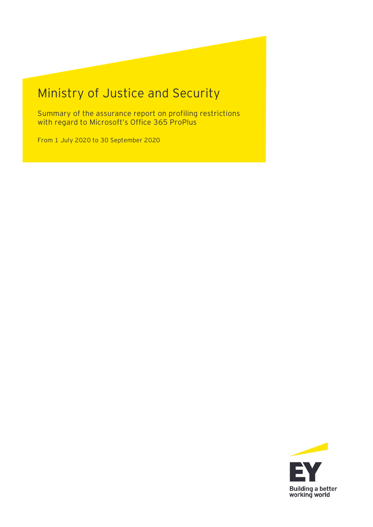# Ministry of Justice and Security

Summary of the assurance report on profiling restrictions with regard to Microsoft's Office 365 ProPlus

From 1 July 2020 to 30 September 2020

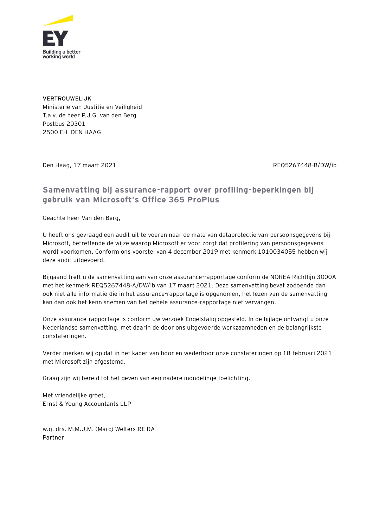

**VERTROUWELIJK** Ministerie van Justitie en Veiligheid T.a.v. de heer P.J.G. van den Berg Postbus 20301 2500 EH DEN HAAG

Den Haag, 17 maart 2021 REQ5267448-B/DW/ib

#### **Samenvatting bij assurance-rapport over profiling-beperkingen bij gebruik van Microsoft's Office 365 ProPlus**

Geachte heer Van den Berg,

U heeft ons gevraagd een audit uit te voeren naar de mate van dataprotectie van persoonsgegevens bij Microsoft, betreffende de wijze waarop Microsoft er voor zorgt dat profilering van persoonsgegevens wordt voorkomen. Conform ons voorstel van 4 december 2019 met kenmerk 1010034055 hebben wij deze audit uitgevoerd.

Bijgaand treft u de samenvatting aan van onze assurance-rapportage conform de NOREA Richtlijn 3000A met het kenmerk REQ5267448-A/DW/ib van 17 maart 2021. Deze samenvatting bevat zodoende dan ook niet alle informatie die in het assurance-rapportage is opgenomen, het lezen van de samenvatting kan dan ook het kennisnemen van het gehele assurance-rapportage niet vervangen.

Onze assurance-rapportage is conform uw verzoek Engelstalig opgesteld. In de bijlage ontvangt u onze Nederlandse samenvatting, met daarin de door ons uitgevoerde werkzaamheden en de belangrijkste constateringen.

Verder merken wij op dat in het kader van hoor en wederhoor onze constateringen op 18 februari 2021 met Microsoft zijn afgestemd.

Graag zijn wij bereid tot het geven van een nadere mondelinge toelichting.

Met vriendelijke groet, Ernst & Young Accountants LLP

w.g. drs. M.M.J.M. (Marc) Welters RE RA Partner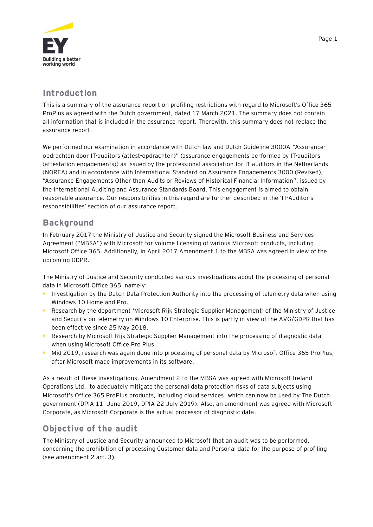

#### **Introduction**

This is a summary of the assurance report on profiling restrictions with regard to Microsoft's Office 365 ProPlus as agreed with the Dutch government, dated 17 March 2021. The summary does not contain all information that is included in the assurance report. Therewith, this summary does not replace the assurance report.

We performed our examination in accordance with Dutch law and Dutch Guideline 3000A "Assuranceopdrachten door IT-auditors (attest-opdrachten)" (assurance engagements performed by IT-auditors (attestation engagements)) as issued by the professional association for IT-auditors in the Netherlands (NOREA) and in accordance with International Standard on Assurance Engagements 3000 (Revised), "Assurance Engagements Other than Audits or Reviews of Historical Financial Information", issued by the International Auditing and Assurance Standards Board. This engagement is aimed to obtain reasonable assurance. Our responsibilities in this regard are further described in the 'IT-Auditor's responsibilities' section of our assurance report.

#### **Background**

In February 2017 the Ministry of Justice and Security signed the Microsoft Business and Services Agreement ("MBSA") with Microsoft for volume licensing of various Microsoft products, including Microsoft Office 365. Additionally, in April 2017 Amendment 1 to the MBSA was agreed in view of the upcoming GDPR.

The Ministry of Justice and Security conducted various investigations about the processing of personal data in Microsoft Office 365, namely:

- **•** Investigation by the Dutch Data Protection Authority into the processing of telemetry data when using Windows 10 Home and Pro.
- **•** Research by the department 'Microsoft Rijk Strategic Supplier Management' of the Ministry of Justice and Security on telemetry on Windows 10 Enterprise. This is partly in view of the AVG/GDPR that has been effective since 25 May 2018.
- **•** Research by Microsoft Rijk Strategic Supplier Management into the processing of diagnostic data when using Microsoft Office Pro Plus.
- **•** Mid 2019, research was again done into processing of personal data by Microsoft Office 365 ProPlus, after Microsoft made improvements in its software.

As a result of these investigations, Amendment 2 to the MBSA was agreed with Microsoft Ireland Operations Ltd., to adequately mitigate the personal data protection risks of data subjects using Microsoft's Office 365 ProPlus products, including cloud services, which can now be used by The Dutch government (DPIA 11 June 2019, DPIA 22 July 2019). Also, an amendment was agreed with Microsoft Corporate, as Microsoft Corporate is the actual processor of diagnostic data.

#### **Objective of the audit**

The Ministry of Justice and Security announced to Microsoft that an audit was to be performed, concerning the prohibition of processing Customer data and Personal data for the purpose of profiling (see amendment 2 art. 3).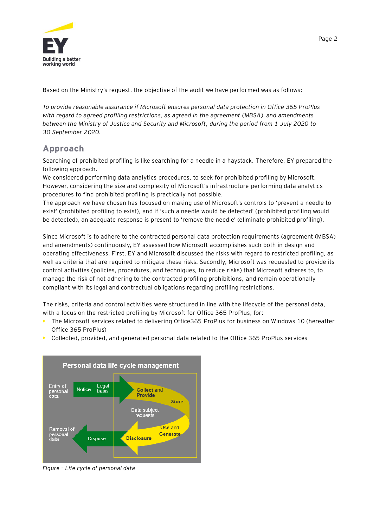

Based on the Ministry's request, the objective of the audit we have performed was as follows:

*To provide reasonable assurance if Microsoft ensures personal data protection in Office 365 ProPlus with regard to agreed profiling restrictions, as agreed in the agreement (MBSA) and amendments between the Ministry of Justice and Security and Microsoft, during the period from 1 July 2020 to 30 September 2020.*

#### **Approach**

Searching of prohibited profiling is like searching for a needle in a haystack. Therefore, EY prepared the following approach.

We considered performing data analytics procedures, to seek for prohibited profiling by Microsoft. However, considering the size and complexity of Microsoft's infrastructure performing data analytics procedures to find prohibited profiling is practically not possible.

The approach we have chosen has focused on making use of Microsoft's controls to 'prevent a needle to exist' (prohibited profiling to exist), and if 'such a needle would be detected' (prohibited profiling would be detected), an adequate response is present to 'remove the needle' (eliminate prohibited profiling).

Since Microsoft is to adhere to the contracted personal data protection requirements (agreement (MBSA) and amendments) continuously, EY assessed how Microsoft accomplishes such both in design and operating effectiveness. First, EY and Microsoft discussed the risks with regard to restricted profiling, as well as criteria that are required to mitigate these risks. Secondly, Microsoft was requested to provide its control activities (policies, procedures, and techniques, to reduce risks) that Microsoft adheres to, to manage the risk of not adhering to the contracted profiling prohibitions, and remain operationally compliant with its legal and contractual obligations regarding profiling restrictions.

The risks, criteria and control activities were structured in line with the lifecycle of the personal data, with a focus on the restricted profiling by Microsoft for Office 365 ProPlus, for:

- **•** The Microsoft services related to delivering Office365 ProPlus for business on Windows 10 (hereafter Office 365 ProPlus)
- **•** Collected, provided, and generated personal data related to the Office 365 ProPlus services



*Figure – Life cycle of personal data*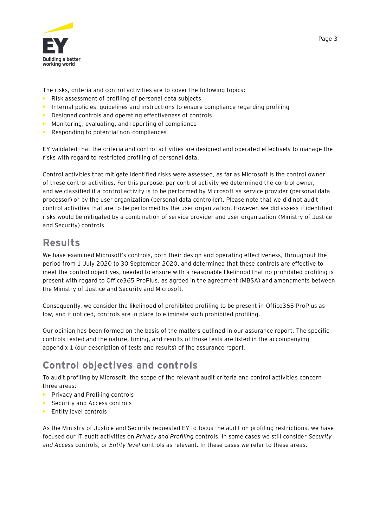

The risks, criteria and control activities are to cover the following topics:

- **•** Risk assessment of profiling of personal data subjects
- **•** Internal policies, guidelines and instructions to ensure compliance regarding profiling
- **•** Designed controls and operating effectiveness of controls
- **•** Monitoring, evaluating, and reporting of compliance
- **•** Responding to potential non-compliances

EY validated that the criteria and control activities are designed and operated effectively to manage the risks with regard to restricted profiling of personal data.

Control activities that mitigate identified risks were assessed, as far as Microsoft is the control owner of these control activities. For this purpose, per control activity we determined the control owner, and we classified if a control activity is to be performed by Microsoft as service provider (personal data processor) or by the user organization (personal data controller). Please note that we did not audit control activities that are to be performed by the user organization. However, we did assess if identified risks would be mitigated by a combination of service provider and user organization (Ministry of Justice and Security) controls.

### **Results**

We have examined Microsoft's controls, both their design and operating effectiveness, throughout the period from 1 July 2020 to 30 September 2020, and determined that these controls are effective to meet the control objectives, needed to ensure with a reasonable likelihood that no prohibited profiling is present with regard to Office365 ProPlus, as agreed in the agreement (MBSA) and amendments between the Ministry of Justice and Security and Microsoft.

Consequently, we consider the likelihood of prohibited profiling to be present in Office365 ProPlus as low, and if noticed, controls are in place to eliminate such prohibited profiling.

Our opinion has been formed on the basis of the matters outlined in our assurance report. The specific controls tested and the nature, timing, and results of those tests are listed in the accompanying appendix 1 (our description of tests and results) of the assurance report.

## **Control objectives and controls**

To audit profiling by Microsoft, the scope of the relevant audit criteria and control activities concern three areas:

- **•** Privacy and Profiling controls
- **•** Security and Access controls
- **•** Entity level controls

As the Ministry of Justice and Security requested EY to focus the audit on profiling restrictions, we have focused our IT audit activities on *Privacy and Profiling* controls. In some cases we still consider *Security and Access* controls, or *Entity level* controls as relevant. In these cases we refer to these areas.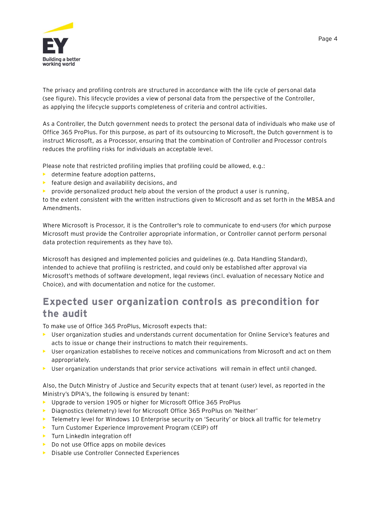

The privacy and profiling controls are structured in accordance with the life cycle of personal data (see figure). This lifecycle provides a view of personal data from the perspective of the Controller, as applying the lifecycle supports completeness of criteria and control activities.

As a Controller, the Dutch government needs to protect the personal data of individuals who make use of Office 365 ProPlus. For this purpose, as part of its outsourcing to Microsoft, the Dutch government is to instruct Microsoft, as a Processor, ensuring that the combination of Controller and Processor controls reduces the profiling risks for individuals an acceptable level.

Please note that restricted profiling implies that profiling could be allowed, e.g.:

- **•** determine feature adoption patterns,
- **•** feature design and availability decisions, and
- **•** provide personalized product help about the version of the product a user is running,

to the extent consistent with the written instructions given to Microsoft and as set forth in the MBSA and Amendments.

Where Microsoft is Processor, it is the Controller's role to communicate to end-users (for which purpose Microsoft must provide the Controller appropriate information, or Controller cannot perform personal data protection requirements as they have to).

Microsoft has designed and implemented policies and guidelines (e.g. Data Handling Standard), intended to achieve that profiling is restricted, and could only be established after approval via Microsoft's methods of software development, legal reviews (incl. evaluation of necessary Notice and Choice), and with documentation and notice for the customer.

## **Expected user organization controls as precondition for the audit**

To make use of Office 365 ProPlus, Microsoft expects that:

- **•** User organization studies and understands current documentation for Online Service's features and acts to issue or change their instructions to match their requirements.
- **•** User organization establishes to receive notices and communications from Microsoft and act on them appropriately.
- User organization understands that prior service activations will remain in effect until changed.

Also, the Dutch Ministry of Justice and Security expects that at tenant (user) level, as reported in the Ministry's DPIA's, the following is ensured by tenant:

- **•** Upgrade to version 1905 or higher for Microsoft Office 365 ProPlus
- **•** Diagnostics (telemetry) level for Microsoft Office 365 ProPlus on 'Neither'
- **•** Telemetry level for Windows 10 Enterprise security on 'Security' or block all traffic for telemetry
- **•** Turn Customer Experience Improvement Program (CEIP) off
- **•** Turn LinkedIn integration off
- **•** Do not use Office apps on mobile devices
- **•** Disable use Controller Connected Experiences